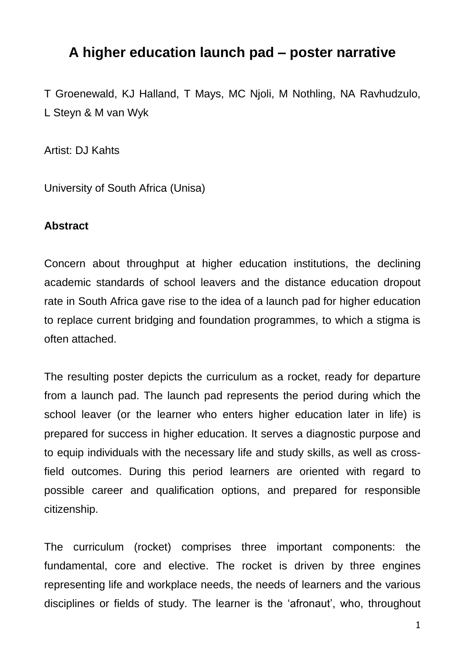# **A higher education launch pad – poster narrative**

T Groenewald, KJ Halland, T Mays, MC Njoli, M Nothling, NA Ravhudzulo, L Steyn & M van Wyk

Artist: DJ Kahts

University of South Africa (Unisa)

## **Abstract**

Concern about throughput at higher education institutions, the declining academic standards of school leavers and the distance education dropout rate in South Africa gave rise to the idea of a launch pad for higher education to replace current bridging and foundation programmes, to which a stigma is often attached.

The resulting poster depicts the curriculum as a rocket, ready for departure from a launch pad. The launch pad represents the period during which the school leaver (or the learner who enters higher education later in life) is prepared for success in higher education. It serves a diagnostic purpose and to equip individuals with the necessary life and study skills, as well as crossfield outcomes. During this period learners are oriented with regard to possible career and qualification options, and prepared for responsible citizenship.

The curriculum (rocket) comprises three important components: the fundamental, core and elective. The rocket is driven by three engines representing life and workplace needs, the needs of learners and the various disciplines or fields of study. The learner is the 'afronaut', who, throughout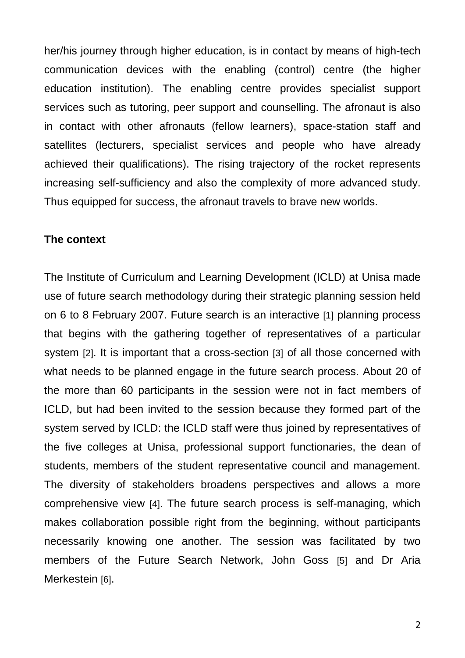her/his journey through higher education, is in contact by means of high-tech communication devices with the enabling (control) centre (the higher education institution). The enabling centre provides specialist support services such as tutoring, peer support and counselling. The afronaut is also in contact with other afronauts (fellow learners), space-station staff and satellites (lecturers, specialist services and people who have already achieved their qualifications). The rising trajectory of the rocket represents increasing self-sufficiency and also the complexity of more advanced study. Thus equipped for success, the afronaut travels to brave new worlds.

#### **The context**

The Institute of Curriculum and Learning Development (ICLD) at Unisa made use of future search methodology during their strategic planning session held on 6 to 8 February 2007. Future search is an interactive [1] planning process that begins with the gathering together of representatives of a particular system [2]. It is important that a cross-section [3] of all those concerned with what needs to be planned engage in the future search process. About 20 of the more than 60 participants in the session were not in fact members of ICLD, but had been invited to the session because they formed part of the system served by ICLD: the ICLD staff were thus joined by representatives of the five colleges at Unisa, professional support functionaries, the dean of students, members of the student representative council and management. The diversity of stakeholders broadens perspectives and allows a more comprehensive view [4]. The future search process is self-managing, which makes collaboration possible right from the beginning, without participants necessarily knowing one another. The session was facilitated by two members of the Future Search Network, John Goss [5] and Dr Aria Merkestein [6].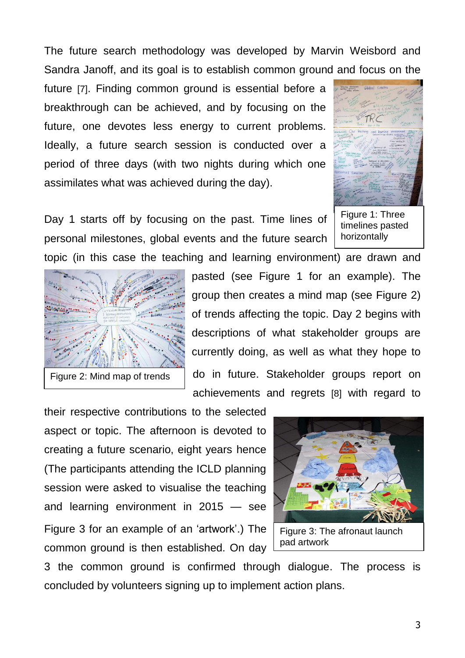The future search methodology was developed by Marvin Weisbord and Sandra Janoff, and its goal is to establish common ground and focus on the

future [7]. Finding common ground is essential before a breakthrough can be achieved, and by focusing on the future, one devotes less energy to current problems. Ideally, a future search session is conducted over a period of three days (with two nights during which one assimilates what was achieved during the day).



Day 1 starts off by focusing on the past. Time lines of personal milestones, global events and the future search

Figure 1: Three timelines pasted horizontally



Figure 2: Mind map of trends

topic (in this case the teaching and learning environment) are drawn and pasted (see Figure 1 for an example). The group then creates a mind map (see Figure 2) of trends affecting the topic. Day 2 begins with descriptions of what stakeholder groups are currently doing, as well as what they hope to do in future. Stakeholder groups report on achievements and regrets [8] with regard to

their respective contributions to the selected aspect or topic. The afternoon is devoted to creating a future scenario, eight years hence (The participants attending the ICLD planning session were asked to visualise the teaching and learning environment in 2015 — see Figure 3 for an example of an 'artwork'.) The common ground is then established. On day



3 the common ground is confirmed through dialogue. The process is concluded by volunteers signing up to implement action plans.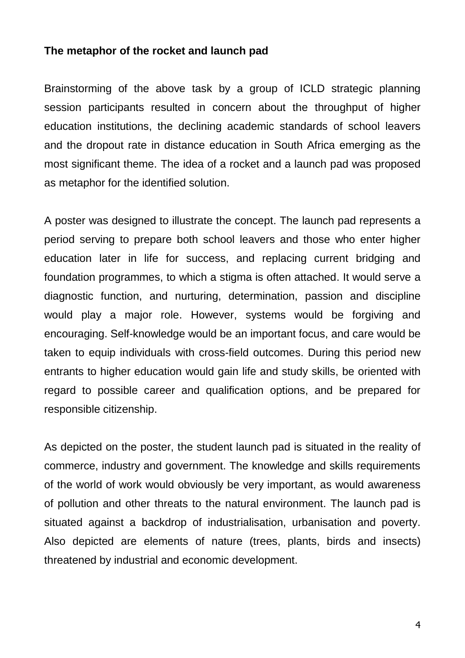## **The metaphor of the rocket and launch pad**

Brainstorming of the above task by a group of ICLD strategic planning session participants resulted in concern about the throughput of higher education institutions, the declining academic standards of school leavers and the dropout rate in distance education in South Africa emerging as the most significant theme. The idea of a rocket and a launch pad was proposed as metaphor for the identified solution.

A poster was designed to illustrate the concept. The launch pad represents a period serving to prepare both school leavers and those who enter higher education later in life for success, and replacing current bridging and foundation programmes, to which a stigma is often attached. It would serve a diagnostic function, and nurturing, determination, passion and discipline would play a major role. However, systems would be forgiving and encouraging. Self-knowledge would be an important focus, and care would be taken to equip individuals with cross-field outcomes. During this period new entrants to higher education would gain life and study skills, be oriented with regard to possible career and qualification options, and be prepared for responsible citizenship.

As depicted on the poster, the student launch pad is situated in the reality of commerce, industry and government. The knowledge and skills requirements of the world of work would obviously be very important, as would awareness of pollution and other threats to the natural environment. The launch pad is situated against a backdrop of industrialisation, urbanisation and poverty. Also depicted are elements of nature (trees, plants, birds and insects) threatened by industrial and economic development.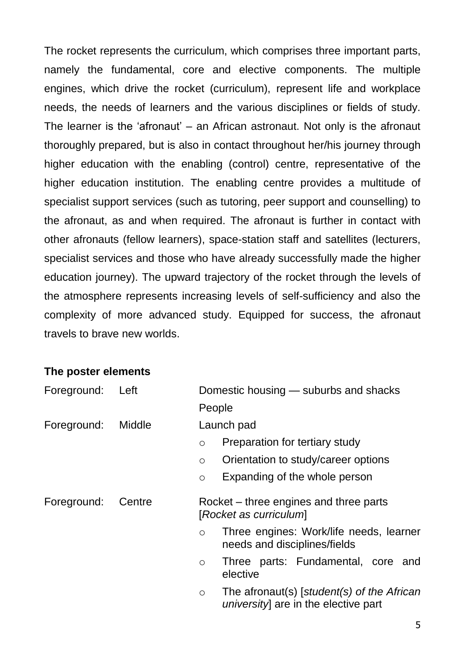The rocket represents the curriculum, which comprises three important parts, namely the fundamental, core and elective components. The multiple engines, which drive the rocket (curriculum), represent life and workplace needs, the needs of learners and the various disciplines or fields of study. The learner is the 'afronaut' – an African astronaut. Not only is the afronaut thoroughly prepared, but is also in contact throughout her/his journey through higher education with the enabling (control) centre, representative of the higher education institution. The enabling centre provides a multitude of specialist support services (such as tutoring, peer support and counselling) to the afronaut, as and when required. The afronaut is further in contact with other afronauts (fellow learners), space-station staff and satellites (lecturers, specialist services and those who have already successfully made the higher education journey). The upward trajectory of the rocket through the levels of the atmosphere represents increasing levels of self-sufficiency and also the complexity of more advanced study. Equipped for success, the afronaut travels to brave new worlds.

#### **The poster elements**

| Foreground: | Left   | Domestic housing — suburbs and shacks                                                         |
|-------------|--------|-----------------------------------------------------------------------------------------------|
|             |        | People                                                                                        |
| Foreground: | Middle | Launch pad                                                                                    |
|             |        | Preparation for tertiary study<br>$\circ$                                                     |
|             |        | Orientation to study/career options<br>$\circ$                                                |
|             |        | Expanding of the whole person<br>$\circ$                                                      |
| Foreground: | Centre | Rocket – three engines and three parts<br>[Rocket as curriculum]                              |
|             |        | Three engines: Work/life needs, learner<br>$\circ$<br>needs and disciplines/fields            |
|             |        | Three parts: Fundamental, core and<br>$\circ$<br>elective                                     |
|             |        | The afronaut(s) [student(s) of the African<br>$\circ$<br>university] are in the elective part |